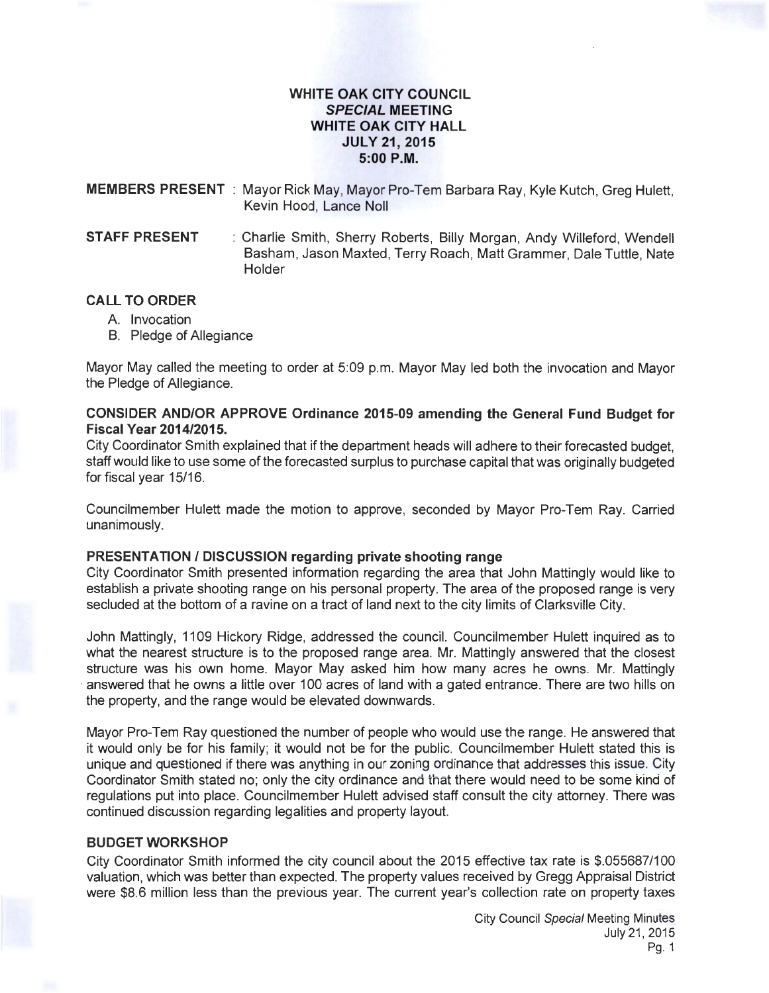## **WHITE OAK CITY COUNCIL SPECIAL MEETING WHITE OAK CITY HALL JULY 21, 2015 5:00P.M.**

**MEMBERS PRESENT** : Mayor Rick May, Mayor Pro-Tem Barbara Ray, Kyle Kutch, Greg Hulett, Kevin Hood, Lance Noll

**STAFF PRESENT** : Charlie Smith, Sherry Roberts, Billy Morgan, Andy Willeford, Wendell Basham, Jason Maxted, Terry Roach, Matt Grammer, Dale Tuttle, Nate **Holder** 

### **CALL TO ORDER**

- A. Invocation
- B. Pledge of Allegiance

Mayor May called the meeting to order at 5:09 p.m. Mayor May led both the invocation and Mayor the Pledge of Allegiance.

# **CONSIDER AND/OR APPROVE Ordinance 2015-09 amending the General Fund Budget for Fiscal Year 2014/2015.**

City Coordinator Smith explained that if the department heads will adhere to their forecasted budget, staff would like to use some of the forecasted surplus to purchase capital that was originally budgeted for fiscal year 15/16.

Councilmember Hulett made the motion to approve, seconded by Mayor Pro-Tem Ray. Carried unanimously.

### **PRESENTATION I DISCUSSION regarding private shooting range**

City Coordinator Smith presented information regarding the area that John Mattingly would like to establish a private shooting range on his personal property. The area of the proposed range is very secluded at the bottom of a ravine on a tract of land next to the city limits of Clarksville City.

John Mattingly, 1109 Hickory Ridge, addressed the council. Councilmember Hulett inquired as to what the nearest structure is to the proposed range area. Mr. Mattingly answered that the closest structure was his own home. Mayor May asked him how many acres he owns. Mr. Mattingly answered that he owns a little over 100 acres of land with a gated entrance. There are two hills on the property, and the range would be elevated downwards.

Mayor Pro-Tem Ray questioned the number of people who would use the range. He answered that it would only be for his family; it would not be for the public. Councilmember Hulett stated this is unique and questioned if there was anything in our zoning ordinance that addresses this issue. City Coordinator Smith stated no; only the city ordinance and that there would need to be some kind of regulations put into place. Councilmember Hulett advised staff consult the city attorney. There was continued discussion regarding legalities and property layout.

# **BUDGET WORKSHOP**

City Coordinator Smith informed the city council about the 2015 effective tax rate is \$.055687/100 valuation, which was better than expected. The property values received by Gregg Appraisal District were \$8.6 million less than the previous year. The current year's collection rate on property taxes